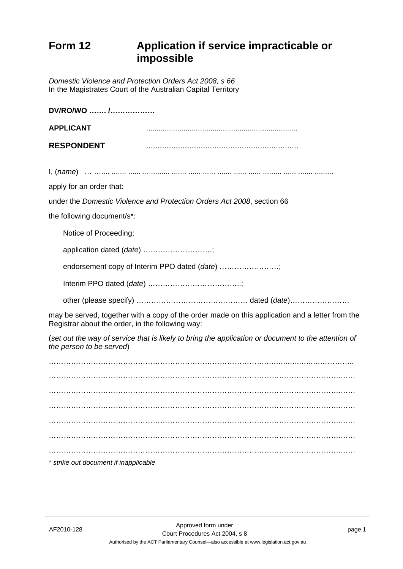## **Form 12 Application if service impracticable or impossible**

*Domestic Violence and Protection Orders Act 2008, s 66* In the Magistrates Court of the Australian Capital Territory

| DV/RO/WO  /                                                                                                                                         |                                                                        |
|-----------------------------------------------------------------------------------------------------------------------------------------------------|------------------------------------------------------------------------|
| <b>APPLICANT</b>                                                                                                                                    |                                                                        |
| <b>RESPONDENT</b>                                                                                                                                   |                                                                        |
|                                                                                                                                                     |                                                                        |
| apply for an order that:                                                                                                                            |                                                                        |
|                                                                                                                                                     | under the Domestic Violence and Protection Orders Act 2008, section 66 |
| the following document/s*:                                                                                                                          |                                                                        |
| Notice of Proceeding;                                                                                                                               |                                                                        |
| application dated (date) ;                                                                                                                          |                                                                        |
| endorsement copy of Interim PPO dated (date) ;                                                                                                      |                                                                        |
|                                                                                                                                                     |                                                                        |
|                                                                                                                                                     |                                                                        |
| may be served, together with a copy of the order made on this application and a letter from the<br>Registrar about the order, in the following way: |                                                                        |
| (set out the way of service that is likely to bring the application or document to the attention of<br>the person to be served)                     |                                                                        |
|                                                                                                                                                     |                                                                        |
|                                                                                                                                                     |                                                                        |
|                                                                                                                                                     |                                                                        |
|                                                                                                                                                     |                                                                        |
|                                                                                                                                                     |                                                                        |
|                                                                                                                                                     |                                                                        |
|                                                                                                                                                     |                                                                        |
|                                                                                                                                                     |                                                                        |
| * strike out document if inapplicable                                                                                                               |                                                                        |